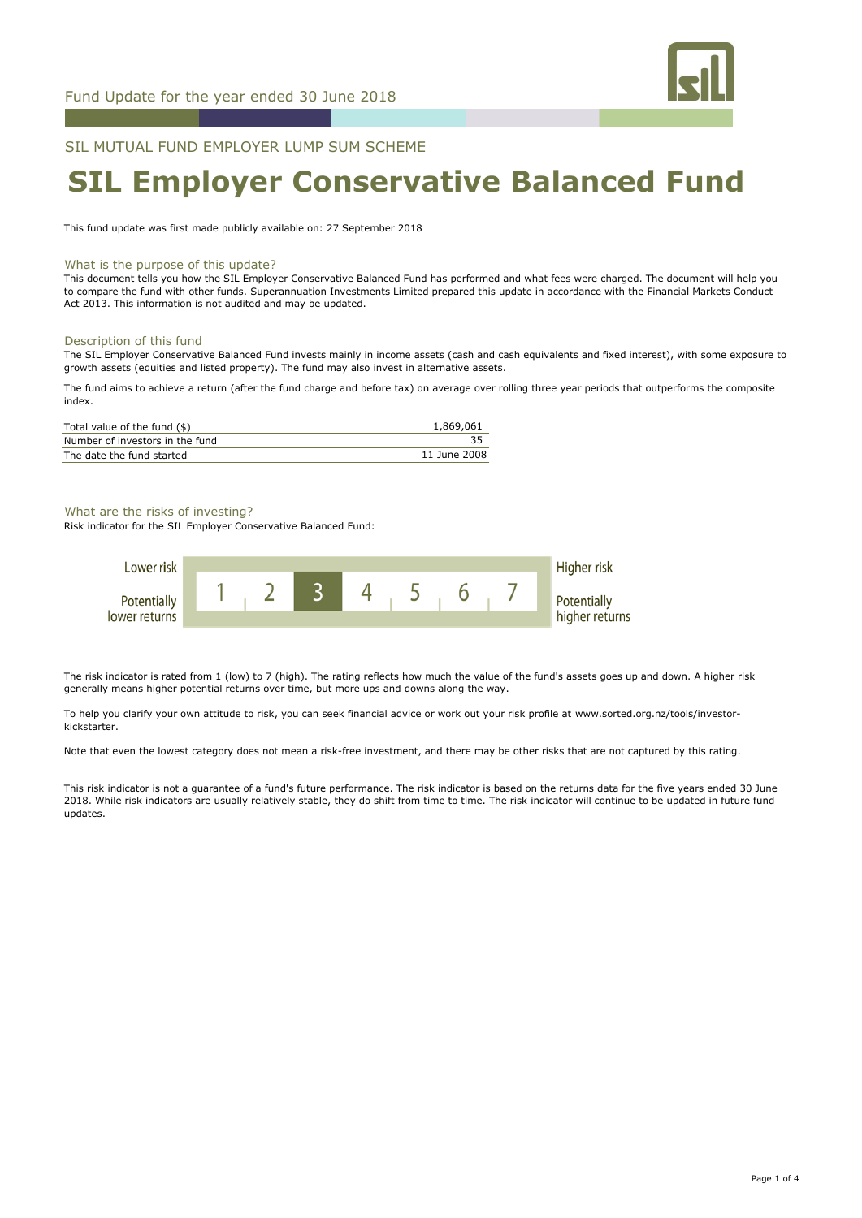

# SIL MUTUAL FUND EMPLOYER LUMP SUM SCHEME

# **SIL Employer Conservative Balanced Fund**

This fund update was first made publicly available on: 27 September 2018

#### What is the purpose of this update?

This document tells you how the SIL Employer Conservative Balanced Fund has performed and what fees were charged. The document will help you to compare the fund with other funds. Superannuation Investments Limited prepared this update in accordance with the Financial Markets Conduct Act 2013. This information is not audited and may be updated.

#### Description of this fund

The SIL Employer Conservative Balanced Fund invests mainly in income assets (cash and cash equivalents and fixed interest), with some exposure to growth assets (equities and listed property). The fund may also invest in alternative assets.

The fund aims to achieve a return (after the fund charge and before tax) on average over rolling three year periods that outperforms the composite index.

| Total value of the fund (\$)    | 1,869,061    |
|---------------------------------|--------------|
| Number of investors in the fund |              |
| The date the fund started       | 11 June 2008 |

## What are the risks of investing?

Risk indicator for the SIL Employer Conservative Balanced Fund:



The risk indicator is rated from 1 (low) to 7 (high). The rating reflects how much the value of the fund's assets goes up and down. A higher risk generally means higher potential returns over time, but more ups and downs along the way.

To help you clarify your own attitude to risk, you can seek financial advice or work out your risk profile at www.sorted.org.nz/tools/investorkickstarter.

Note that even the lowest category does not mean a risk-free investment, and there may be other risks that are not captured by this rating.

This risk indicator is not a guarantee of a fund's future performance. The risk indicator is based on the returns data for the five years ended 30 June 2018. While risk indicators are usually relatively stable, they do shift from time to time. The risk indicator will continue to be updated in future fund updates.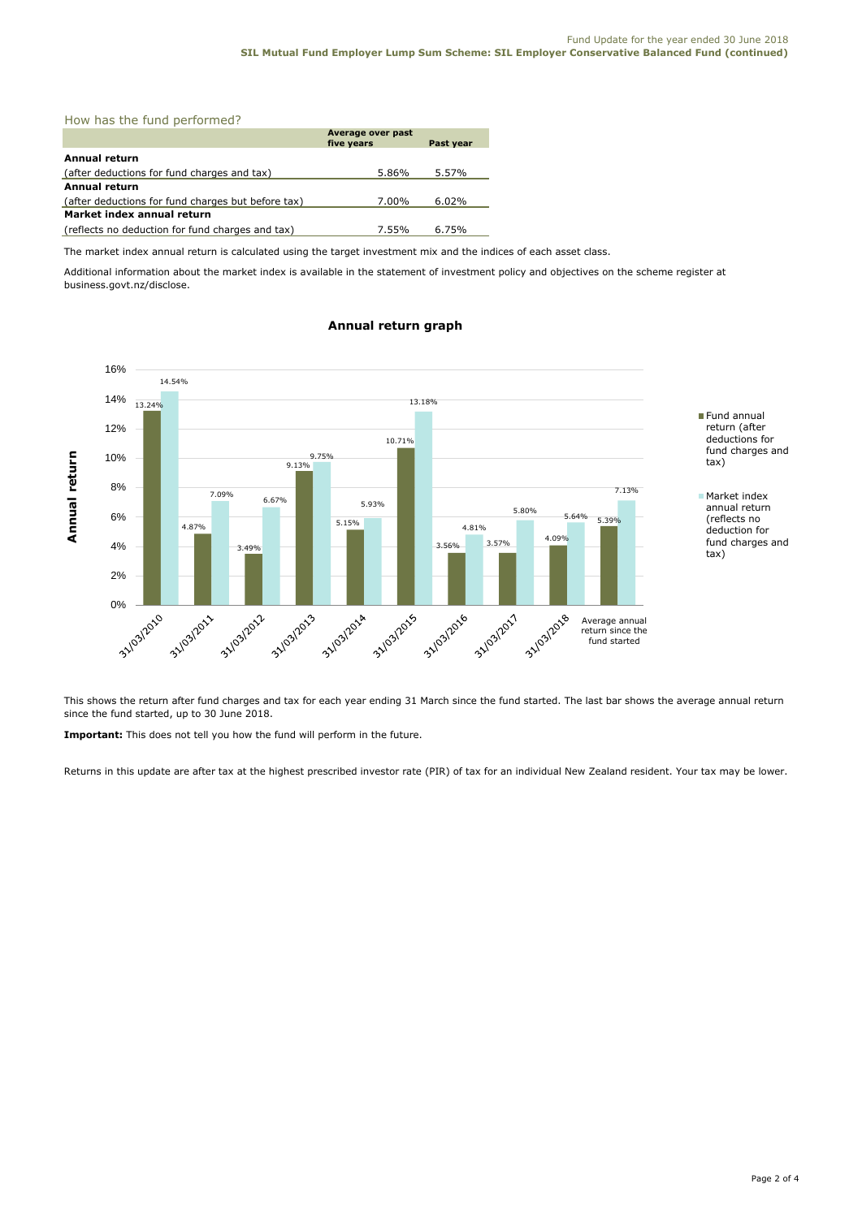# How has the fund performed?

|                                                    | Average over past<br>five years | Past year |  |
|----------------------------------------------------|---------------------------------|-----------|--|
| Annual return                                      |                                 |           |  |
| (after deductions for fund charges and tax)        | 5.86%                           | 5.57%     |  |
| Annual return                                      |                                 |           |  |
| (after deductions for fund charges but before tax) | 7.00%                           | 6.02%     |  |
| Market index annual return                         |                                 |           |  |
| (reflects no deduction for fund charges and tax)   | 7.55%                           | 6.75%     |  |

The market index annual return is calculated using the target investment mix and the indices of each asset class.

Additional information about the market index is available in the statement of investment policy and objectives on the scheme register at business.govt.nz/disclose.



# **Annual return graph**

This shows the return after fund charges and tax for each year ending 31 March since the fund started. The last bar shows the average annual return since the fund started, up to 30 June 2018.

**Important:** This does not tell you how the fund will perform in the future.

Returns in this update are after tax at the highest prescribed investor rate (PIR) of tax for an individual New Zealand resident. Your tax may be lower.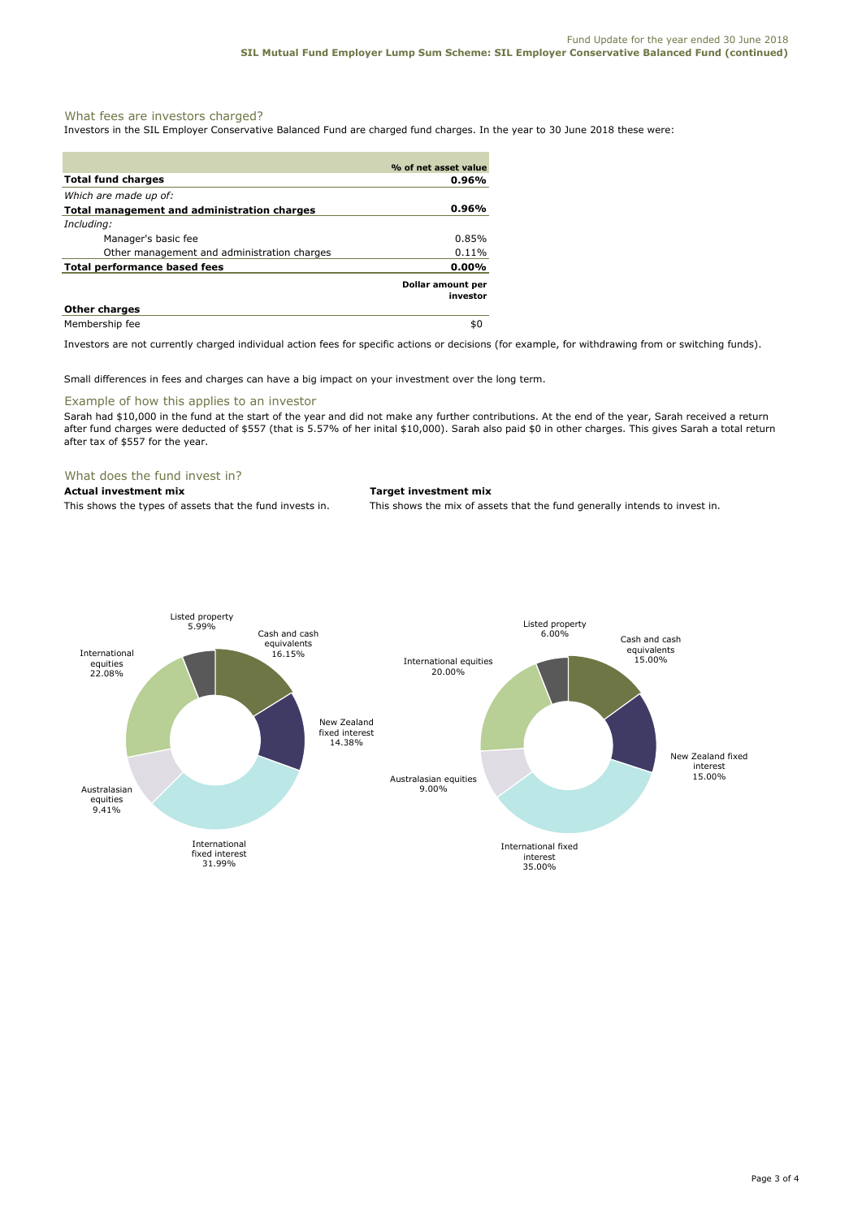# What fees are investors charged?

Investors in the SIL Employer Conservative Balanced Fund are charged fund charges. In the year to 30 June 2018 these were:

|                                             | % of net asset value          |
|---------------------------------------------|-------------------------------|
| <b>Total fund charges</b>                   | 0.96%                         |
| Which are made up of:                       |                               |
| Total management and administration charges | 0.96%                         |
| Including:                                  |                               |
| Manager's basic fee                         | $0.85\%$                      |
| Other management and administration charges | $0.11\%$                      |
| <b>Total performance based fees</b>         | $0.00\%$                      |
|                                             | Dollar amount per<br>investor |
| <b>Other charges</b>                        |                               |
| Membership fee                              | \$0                           |

Investors are not currently charged individual action fees for specific actions or decisions (for example, for withdrawing from or switching funds).

Small differences in fees and charges can have a big impact on your investment over the long term.

#### Example of how this applies to an investor

Sarah had \$10,000 in the fund at the start of the year and did not make any further contributions. At the end of the year, Sarah received a return after fund charges were deducted of \$557 (that is 5.57% of her inital \$10,000). Sarah also paid \$0 in other charges. This gives Sarah a total return after tax of \$557 for the year.

# What does the fund invest in?

## **Actual investment mix Target investment mix**

This shows the types of assets that the fund invests in. This shows the mix of assets that the fund generally intends to invest in.